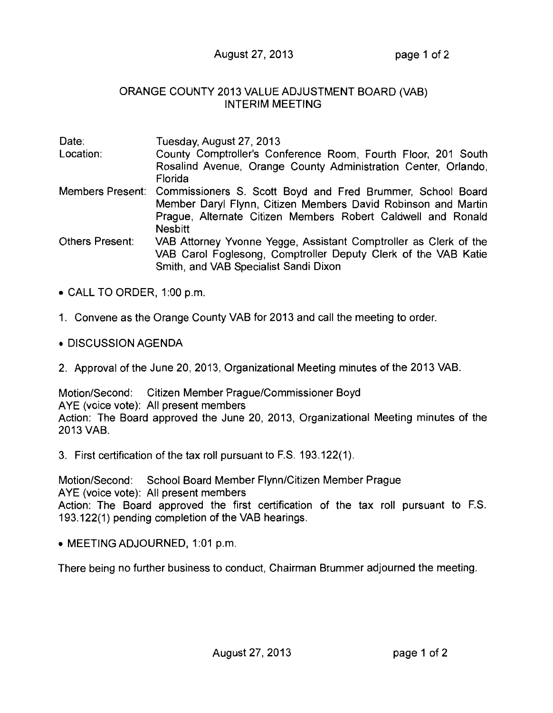August 27, 2013 page 1 of 2

## ORANGE COUNTY 2013 VALUE ADJUSTMENT BOARD (VAB) INTERIM MEETING

| Date:                  | Tuesday, August 27, 2013                                                  |
|------------------------|---------------------------------------------------------------------------|
| Location:              | County Comptroller's Conference Room, Fourth Floor, 201 South             |
|                        | Rosalind Avenue, Orange County Administration Center, Orlando,<br>Florida |
| Members Present:       | Commissioners S. Scott Boyd and Fred Brummer, School Board                |
|                        | Member Daryl Flynn, Citizen Members David Robinson and Martin             |
|                        | Prague, Alternate Citizen Members Robert Caldwell and Ronald              |
|                        | <b>Nesbitt</b>                                                            |
| <b>Others Present:</b> | VAB Attorney Yvonne Yegge, Assistant Comptroller as Clerk of the          |
|                        | VAB Carol Foglesong, Comptroller Deputy Clerk of the VAB Katie            |
|                        | Smith, and VAB Specialist Sandi Dixon                                     |

- CALL TO ORDER, 1:00 p.m.
- 1. Convene as the Orange County VAB for 2013 and call the meeting to order.
- DISCUSSION AGENDA
- 2. Approval of the June 20, 2013, Organizational Meeting minutes of the 2013 VAB.

Motion/Second: Citizen Member Prague/Commissioner Boyd AYE (voice vote): All present members Action: The Board approved the June 20, 2013, Organizational Meeting minutes of the 2013 VAB.

3. First certification of the tax roll pursuant to F.S. 193.122(1).

Motion/Second: School Board Member Flynn/Citizen Member Prague AYE (voice vote): All present members Action: The Board approved the first certification of the tax roll pursuant to F.S. 193.122(1) pending completion of the VAB hearings.

• MEETING ADJOURNED, 1:01 p.m.

There being no further business to conduct, Chairman Brummer adjourned the meeting.